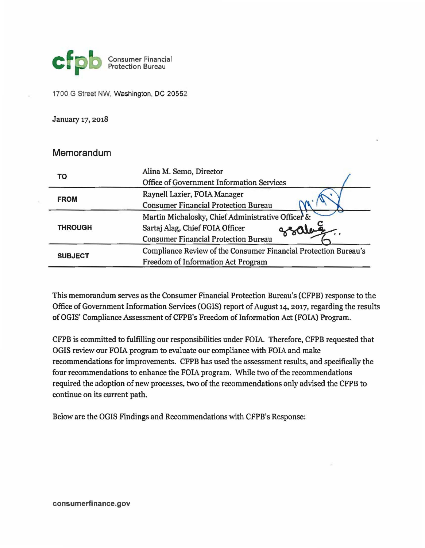

1700 G Street NW, Washington, DC 20552

January 17, 2018

## Memorandum

| ТΟ             | Alina M. Semo, Director                                         |
|----------------|-----------------------------------------------------------------|
|                | Office of Government Information Services                       |
| <b>FROM</b>    | Raynell Lazier, FOIA Manager                                    |
|                | <b>Consumer Financial Protection Bureau</b>                     |
| <b>THROUGH</b> | Martin Michalosky, Chief Administrative Officer &               |
|                | Sartaj Alag, Chief FOIA Officer                                 |
|                | <b>Consumer Financial Protection Bureau</b>                     |
| <b>SUBJECT</b> | Compliance Review of the Consumer Financial Protection Bureau's |
|                | Freedom of Information Act Program                              |

This memorandum serves as the Consumer Financial Protection Bureau's (CFPB) response to the Office of Government Information Services (OGIS) report of August 14, 2017, regarding the results ofOGIS' Compliance Assessment of CFPB's Freedom of Information Act (FOIA) Program.

CFPB is committed to fulfilling our responsibilities under FOIA. Therefore, CFPB requested that OGIS review our FOIA program to evaluate our compliance with FOIA and make recommendations for improvements. CFPB has used the assessment results, and specifically the four recommendations to enhance the FOIA program. While two of the recommendations required the adoption of new processes, two of the recommendations only advised the CFPB to continue on its current path.

Below are the OGIS Findings and Recommendations with CFPB's Response: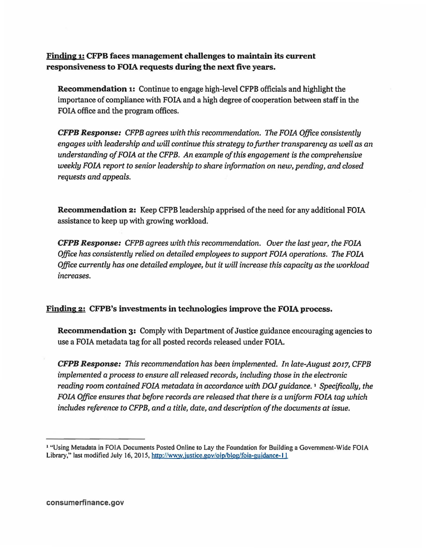Finding CFPB faces management challenges to maintain its current responsiveness to FOIA requests during the next five years.

Recommendation 1: Continue to engage high-level CFPB officials and highlight the importance of compliance with FOIA and a high degree of cooperation between staff in the FOIA office and the program offices.

*CFPB Response: CFPB agrees with this recommendation. The FOIA Office consistently engages with leadership and will continue this strategy to further transparency as well as an understanding ofFOIA at the CFPB. An example ofthis engagement is the comprehensive weekly FOIA report to senior leadership to share information on new, pending, and closed requests and appeals.* 

Recommendation 2: Keep CFPB leadership apprised of the need for any additional FOIA assistance to keep up with growing workload.

*CFPB Response: CFPB agrees with this recommendation. Over the last year, the FOIA Office has consistently relied on detailed employees to support FOIA operations. The FOIA Office currently has one detailed employee, but it will increase this capacity as the workload increases.* 

## Finding 2: CFPB's investments in technologies improve the FOIA process.

**Recommendation 3:** Comply with Department of Justice guidance encouraging agencies to use a FOIA metadata tag for all posted records released under FOIA.

*CFPB Response: This recommendation has been implemented. In late-August 2017, CFPB implemented a process to ensure all released records, including those in the electronic reading room contained FOIA metadata in accordance with DOJ guidance.* 1 *Specifically, the FOIA Office ensures that before records are released that there is a uniform FOIA tag which*  includes reference to CFPB, and a title, date, and description of the documents at issue.

<sup>1 &</sup>quot;Using Metadata in FOIA Documents Posted Online to Lay the Foundation for Building a Government-Wide FOIA Library," last modified July 16, 2015, http://www.justice.gov/oip/blog/foia-guidance-11